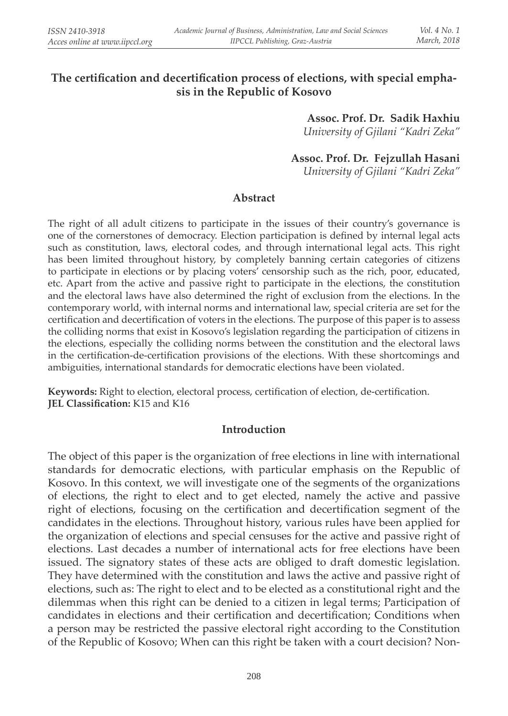## The certification and decertification process of elections, with special empha**sis in the Republic of Kosovo**

**Assoc. Prof. Dr. Sadik Haxhiu** *University of Gjilani "Kadri Zeka"* 

 **Assoc. Prof. Dr. Fejzullah Hasani** *University of Gjilani "Kadri Zeka"* 

#### **Abstract**

The right of all adult citizens to participate in the issues of their country's governance is one of the cornerstones of democracy. Election participation is defined by internal legal acts such as constitution, laws, electoral codes, and through international legal acts. This right has been limited throughout history, by completely banning certain categories of citizens to participate in elections or by placing voters' censorship such as the rich, poor, educated, etc. Apart from the active and passive right to participate in the elections, the constitution and the electoral laws have also determined the right of exclusion from the elections. In the contemporary world, with internal norms and international law, special criteria are set for the certification and decertification of voters in the elections. The purpose of this paper is to assess the colliding norms that exist in Kosovo's legislation regarding the participation of citizens in the elections, especially the colliding norms between the constitution and the electoral laws in the certification-de-certification provisions of the elections. With these shortcomings and ambiguities, international standards for democratic elections have been violated.

Keywords: Right to election, electoral process, certification of election, de-certification. **JEL Classification:** K15 and K16

#### **Introduction**

The object of this paper is the organization of free elections in line with international standards for democratic elections, with particular emphasis on the Republic of Kosovo. In this context, we will investigate one of the segments of the organizations of elections, the right to elect and to get elected, namely the active and passive right of elections, focusing on the certification and decertification segment of the candidates in the elections. Throughout history, various rules have been applied for the organization of elections and special censuses for the active and passive right of elections. Last decades a number of international acts for free elections have been issued. The signatory states of these acts are obliged to draft domestic legislation. They have determined with the constitution and laws the active and passive right of elections, such as: The right to elect and to be elected as a constitutional right and the dilemmas when this right can be denied to a citizen in legal terms; Participation of candidates in elections and their certification and decertification; Conditions when a person may be restricted the passive electoral right according to the Constitution of the Republic of Kosovo; When can this right be taken with a court decision? Non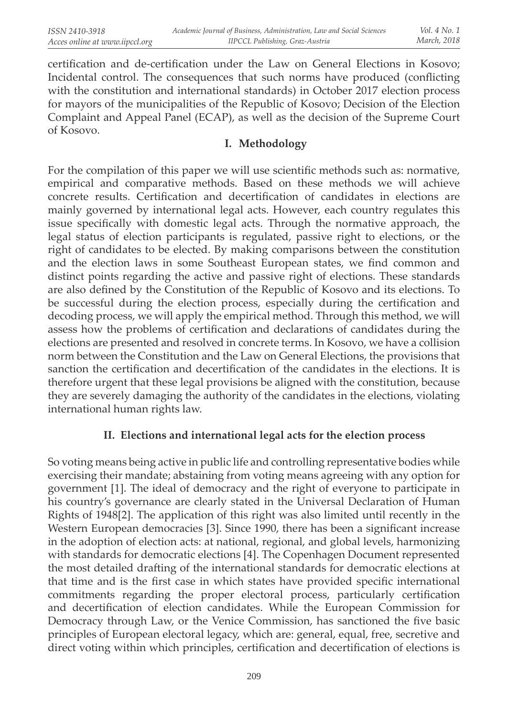certification and de-certification under the Law on General Elections in Kosovo; Incidental control. The consequences that such norms have produced (conflicting with the constitution and international standards) in October 2017 election process for mayors of the municipalities of the Republic of Kosovo; Decision of the Election Complaint and Appeal Panel (ECAP), as well as the decision of the Supreme Court of Kosovo.

#### **I. Methodology**

For the compilation of this paper we will use scientific methods such as: normative, empirical and comparative methods. Based on these methods we will achieve concrete results. Certification and decertification of candidates in elections are mainly governed by international legal acts. However, each country regulates this issue specifically with domestic legal acts. Through the normative approach, the legal status of election participants is regulated, passive right to elections, or the right of candidates to be elected. By making comparisons between the constitution and the election laws in some Southeast European states, we find common and distinct points regarding the active and passive right of elections. These standards are also defined by the Constitution of the Republic of Kosovo and its elections. To be successful during the election process, especially during the certification and decoding process, we will apply the empirical method. Through this method, we will assess how the problems of certification and declarations of candidates during the elections are presented and resolved in concrete terms. In Kosovo, we have a collision norm between the Constitution and the Law on General Elections, the provisions that sanction the certification and decertification of the candidates in the elections. It is therefore urgent that these legal provisions be aligned with the constitution, because they are severely damaging the authority of the candidates in the elections, violating international human rights law.

# **II. Elections and international legal acts for the election process**

So voting means being active in public life and controlling representative bodies while exercising their mandate; abstaining from voting means agreeing with any option for government [1]. The ideal of democracy and the right of everyone to participate in his country's governance are clearly stated in the Universal Declaration of Human Rights of 1948[2]. The application of this right was also limited until recently in the Western European democracies [3]. Since 1990, there has been a significant increase in the adoption of election acts: at national, regional, and global levels, harmonizing with standards for democratic elections [4]. The Copenhagen Document represented the most detailed drafting of the international standards for democratic elections at that time and is the first case in which states have provided specific international commitments regarding the proper electoral process, particularly certification and decertification of election candidates. While the European Commission for Democracy through Law, or the Venice Commission, has sanctioned the five basic principles of European electoral legacy, which are: general, equal, free, secretive and direct voting within which principles, certification and decertification of elections is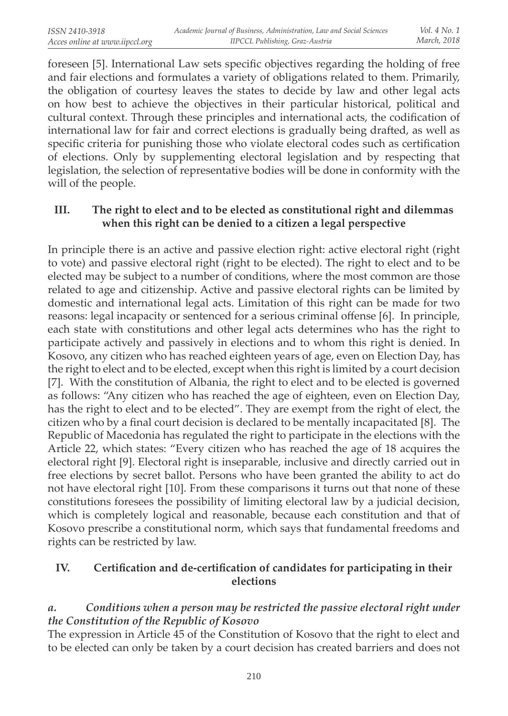foreseen [5]. International Law sets specific objectives regarding the holding of free and fair elections and formulates a variety of obligations related to them. Primarily, the obligation of courtesy leaves the states to decide by law and other legal acts on how best to achieve the objectives in their particular historical, political and cultural context. Through these principles and international acts, the codification of international law for fair and correct elections is gradually being drafted, as well as specific criteria for punishing those who violate electoral codes such as certification of elections. Only by supplementing electoral legislation and by respecting that legislation, the selection of representative bodies will be done in conformity with the will of the people.

## **III. The right to elect and to be elected as constitutional right and dilemmas when this right can be denied to a citizen a legal perspective**

In principle there is an active and passive election right: active electoral right (right to vote) and passive electoral right (right to be elected). The right to elect and to be elected may be subject to a number of conditions, where the most common are those related to age and citizenship. Active and passive electoral rights can be limited by domestic and international legal acts. Limitation of this right can be made for two reasons: legal incapacity or sentenced for a serious criminal offense [6]. In principle, each state with constitutions and other legal acts determines who has the right to participate actively and passively in elections and to whom this right is denied. In Kosovo, any citizen who has reached eighteen years of age, even on Election Day, has the right to elect and to be elected, except when this right is limited by a court decision [7]. With the constitution of Albania, the right to elect and to be elected is governed as follows: "Any citizen who has reached the age of eighteen, even on Election Day, has the right to elect and to be elected". They are exempt from the right of elect, the citizen who by a final court decision is declared to be mentally incapacitated  $[8]$ . The Republic of Macedonia has regulated the right to participate in the elections with the Article 22, which states: "Every citizen who has reached the age of 18 acquires the electoral right [9]. Electoral right is inseparable, inclusive and directly carried out in free elections by secret ballot. Persons who have been granted the ability to act do not have electoral right [10]. From these comparisons it turns out that none of these constitutions foresees the possibility of limiting electoral law by a judicial decision, which is completely logical and reasonable, because each constitution and that of Kosovo prescribe a constitutional norm, which says that fundamental freedoms and rights can be restricted by law.

## **IV.** Certification and de-certification of candidates for participating in their **elections**

# *a. Conditions when a person may be restricted the passive electoral right under the Constitution of the Republic of Kosovo*

The expression in Article 45 of the Constitution of Kosovo that the right to elect and to be elected can only be taken by a court decision has created barriers and does not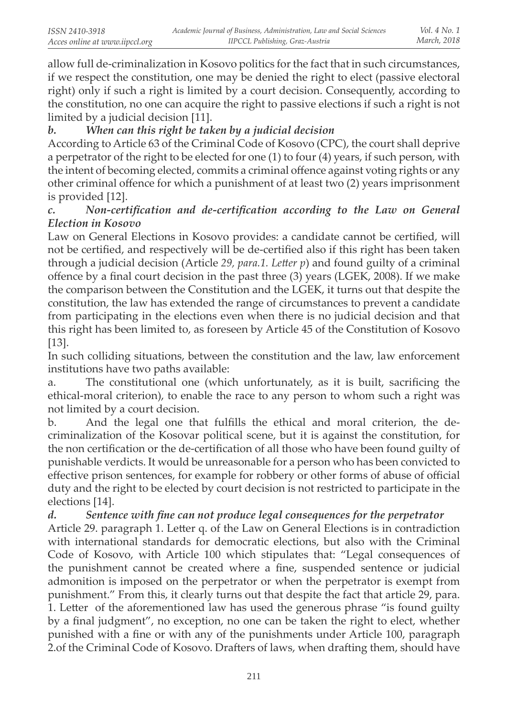allow full de-criminalization in Kosovo politics for the fact that in such circumstances, if we respect the constitution, one may be denied the right to elect (passive electoral right) only if such a right is limited by a court decision. Consequently, according to the constitution, no one can acquire the right to passive elections if such a right is not limited by a judicial decision [11].

# *b. When can this right be taken by a judicial decision*

According to Article 63 of the Criminal Code of Kosovo (CPC), the court shall deprive a perpetrator of the right to be elected for one (1) to four (4) years, if such person, with the intent of becoming elected, commits a criminal offence against voting rights or any other criminal offence for which a punishment of at least two (2) years imprisonment is provided [12].

## *c.* Non-certification and de-certification according to the Law on General *Election in Kosovo*

Law on General Elections in Kosovo provides: a candidate cannot be certified, will not be certified, and respectively will be de-certified also if this right has been taken through a judicial decision (Article *29, para.1. Lett er p*) and found guilty of a criminal offence by a final court decision in the past three (3) years (LGEK, 2008). If we make the comparison between the Constitution and the LGEK, it turns out that despite the constitution, the law has extended the range of circumstances to prevent a candidate from participating in the elections even when there is no judicial decision and that this right has been limited to, as foreseen by Article 45 of the Constitution of Kosovo [13].

In such colliding situations, between the constitution and the law, law enforcement institutions have two paths available:

a. The constitutional one (which unfortunately, as it is built, sacrificing the ethical-moral criterion), to enable the race to any person to whom such a right was not limited by a court decision.

b. And the legal one that fulfills the ethical and moral criterion, the decriminalization of the Kosovar political scene, but it is against the constitution, for the non certification or the de-certification of all those who have been found guilty of punishable verdicts. It would be unreasonable for a person who has been convicted to effective prison sentences, for example for robbery or other forms of abuse of official duty and the right to be elected by court decision is not restricted to participate in the elections [14].

*d.* Sentence with fine can not produce legal consequences for the perpetrator Article 29. paragraph 1. Letter q. of the Law on General Elections is in contradiction with international standards for democratic elections, but also with the Criminal Code of Kosovo, with Article 100 which stipulates that: "Legal consequences of the punishment cannot be created where a fine, suspended sentence or judicial admonition is imposed on the perpetrator or when the perpetrator is exempt from punishment." From this, it clearly turns out that despite the fact that article 29, para. 1. Letter of the aforementioned law has used the generous phrase "is found guilty by a final judgment", no exception, no one can be taken the right to elect, whether punished with a fine or with any of the punishments under Article 100, paragraph 2.of the Criminal Code of Kosovo. Drafters of laws, when drafting them, should have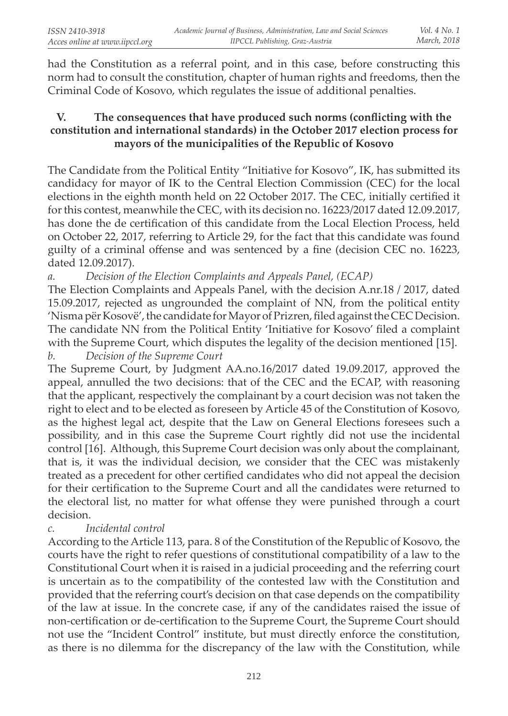had the Constitution as a referral point, and in this case, before constructing this norm had to consult the constitution, chapter of human rights and freedoms, then the Criminal Code of Kosovo, which regulates the issue of additional penalties.

## **V.** The consequences that have produced such norms (conflicting with the **constitution and international standards) in the October 2017 election process for mayors of the municipalities of the Republic of Kosovo**

The Candidate from the Political Entity "Initiative for Kosovo", IK, has submitted its candidacy for mayor of IK to the Central Election Commission (CEC) for the local elections in the eighth month held on 22 October 2017. The CEC, initially certified it for this contest, meanwhile the CEC, with its decision no. 16223/2017 dated 12.09.2017, has done the de certification of this candidate from the Local Election Process, held on October 22, 2017, referring to Article 29, for the fact that this candidate was found guilty of a criminal offense and was sentenced by a fine (decision CEC no. 16223, dated 12.09.2017).

*a. Decision of the Election Complaints and Appeals Panel, (ECAP)*

The Election Complaints and Appeals Panel, with the decision A.nr.18 / 2017, dated 15.09.2017, rejected as ungrounded the complaint of NN, from the political entity 'Nisma për Kosovë', the candidate for Mayor of Prizren, fi led against the CEC Decision. The candidate NN from the Political Entity 'Initiative for Kosovo' filed a complaint with the Supreme Court, which disputes the legality of the decision mentioned [15]. *b. Decision of the Supreme Court*

The Supreme Court, by Judgment AA.no.16/2017 dated 19.09.2017, approved the appeal, annulled the two decisions: that of the CEC and the ECAP, with reasoning that the applicant, respectively the complainant by a court decision was not taken the right to elect and to be elected as foreseen by Article 45 of the Constitution of Kosovo, as the highest legal act, despite that the Law on General Elections foresees such a possibility, and in this case the Supreme Court rightly did not use the incidental control [16]. Although, this Supreme Court decision was only about the complainant, that is, it was the individual decision, we consider that the CEC was mistakenly treated as a precedent for other certified candidates who did not appeal the decision for their certification to the Supreme Court and all the candidates were returned to the electoral list, no matter for what offense they were punished through a court decision.

#### *c. Incidental control*

According to the Article 113, para. 8 of the Constitution of the Republic of Kosovo, the courts have the right to refer questions of constitutional compatibility of a law to the Constitutional Court when it is raised in a judicial proceeding and the referring court is uncertain as to the compatibility of the contested law with the Constitution and provided that the referring court's decision on that case depends on the compatibility of the law at issue. In the concrete case, if any of the candidates raised the issue of non-certification or de-certification to the Supreme Court, the Supreme Court should not use the "Incident Control" institute, but must directly enforce the constitution, as there is no dilemma for the discrepancy of the law with the Constitution, while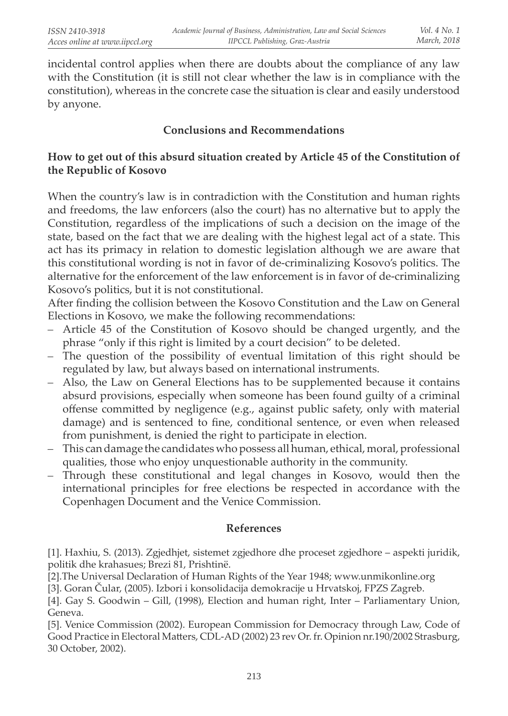incidental control applies when there are doubts about the compliance of any law with the Constitution (it is still not clear whether the law is in compliance with the constitution), whereas in the concrete case the situation is clear and easily understood by anyone.

## **Conclusions and Recommendations**

#### **How to get out of this absurd situation created by Article 45 of the Constitution of the Republic of Kosovo**

When the country's law is in contradiction with the Constitution and human rights and freedoms, the law enforcers (also the court) has no alternative but to apply the Constitution, regardless of the implications of such a decision on the image of the state, based on the fact that we are dealing with the highest legal act of a state. This act has its primacy in relation to domestic legislation although we are aware that this constitutional wording is not in favor of de-criminalizing Kosovo's politics. The alternative for the enforcement of the law enforcement is in favor of de-criminalizing Kosovo's politics, but it is not constitutional.

After finding the collision between the Kosovo Constitution and the Law on General Elections in Kosovo, we make the following recommendations:

- Article 45 of the Constitution of Kosovo should be changed urgently, and the phrase "only if this right is limited by a court decision" to be deleted.
- The question of the possibility of eventual limitation of this right should be regulated by law, but always based on international instruments.
- Also, the Law on General Elections has to be supplemented because it contains absurd provisions, especially when someone has been found guilty of a criminal offense committed by negligence (e.g., against public safety, only with material damage) and is sentenced to fine, conditional sentence, or even when released from punishment, is denied the right to participate in election.
- This can damage the candidates who possess all human, ethical, moral, professional qualities, those who enjoy unquestionable authority in the community.
- Through these constitutional and legal changes in Kosovo, would then the international principles for free elections be respected in accordance with the Copenhagen Document and the Venice Commission.

#### **References**

[1]. Haxhiu, S. (2013). Zgjedhjet, sistemet zgjedhore dhe proceset zgjedhore – aspekti juridik, politik dhe krahasues; Brezi 81, Prishtinë.

[2].The Universal Declaration of Human Rights of the Year 1948; www.unmikonline.org

[3]. Goran Čular, (2005). Izbori i konsolidacija demokracije u Hrvatskoj, FPZS Zagreb.

[4]. Gay S. Goodwin – Gill, (1998), Election and human right, Inter – Parliamentary Union, Geneva.

[5]. Venice Commission (2002). European Commission for Democracy through Law, Code of Good Practice in Electoral Matters, CDL-AD (2002) 23 rev Or. fr. Opinion nr.190/2002 Strasburg, 30 October, 2002).